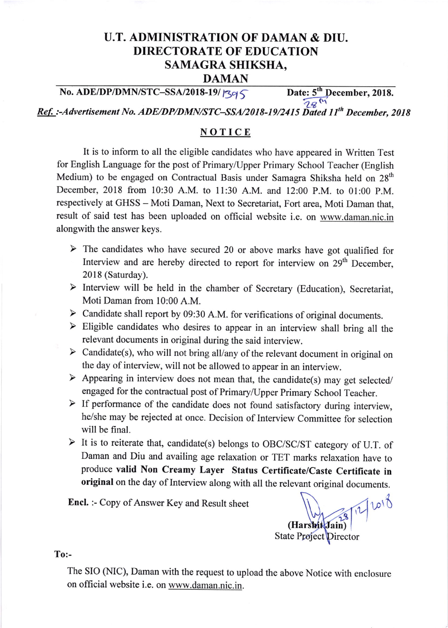## U.T. ADMINISTRATION OF DAMAN & DIU. DIRECTORATE OF EDUCATION SAMAGRA SHIKSHA, DAMAN

## No. ADE/DP/DMN/STC-SSA/2018-19/ $\vert$ 395. Date: 5<sup>th</sup> December, 2018.

 $78<sup>th</sup>$ 

Ref. :-Advertisement No. ADE/DP/DMN/STC-SSA/2018-19/2415 Dated 11<sup>th</sup> December, 2018

## NOTICE

It is to inform to all the eligible candidates who have appeared in Written Test for English Language for the post of Primary/Upper Primary School Teacher (English Medium) to be engaged on Contractual Basis under Samagra Shiksha held on 28<sup>th</sup> December,2018 from 10:30 A.M. to 1l:30 A.M. and 12:00 P.M. to 0l:00 p.M. respectively at GHSS - Moti Daman, Next to Secretariat, Fort area, Moti Daman that, result of said test has been uploaded on official website i.e. on www.daman.nic.in alongwith the answer keys.

- $\triangleright$  The candidates who have secured 20 or above marks have got qualified for Interview and are hereby directed to report for interview on 29<sup>th</sup> December, 2018 (Saturday).
- $\triangleright$  Interview will be held in the chamber of Secretary (Education), Secretariat, Moti Daman from 10:00 A.M.
- $\triangleright$  Candidate shall report by 09:30 A.M. for verifications of original documents.
- $\triangleright$  Eligible candidates who desires to appear in an interview shall bring all the relevant documents in original during the said interview.
- $\triangleright$  Candidate(s), who will not bring all/any of the relevant document in original on the day of interview, will not be allowed to appear in an interview.
- $\blacktriangleright$  Appearing in interview does not mean that, the candidate(s) may get selected/engaged for the contractual post of Primary/Upper Primary School Teacher.
- $\triangleright$  If performance of the candidate does not found satisfactory during interview, he/she may be rejected at once. Decision of Interview committee for selection will be final.
- > It is to reiterate that, candidate(s) belongs to OBC/SC/ST category of U.T. of Daman and Diu and availing age relaxation or TET marks relaxation have to produce valid Non creamy Layer status certificate/caste certificate in original on the day of Interview along with all the relevant original documents.

Encl. :- Copy of Answer Key and Result sheet

(Harshit Jain) 2 1018 State Project Director

To:-

The SIO (NIC), Daman with the request to upload the above Notice with enclosure on official website i.e. on www.daman.nic.in.